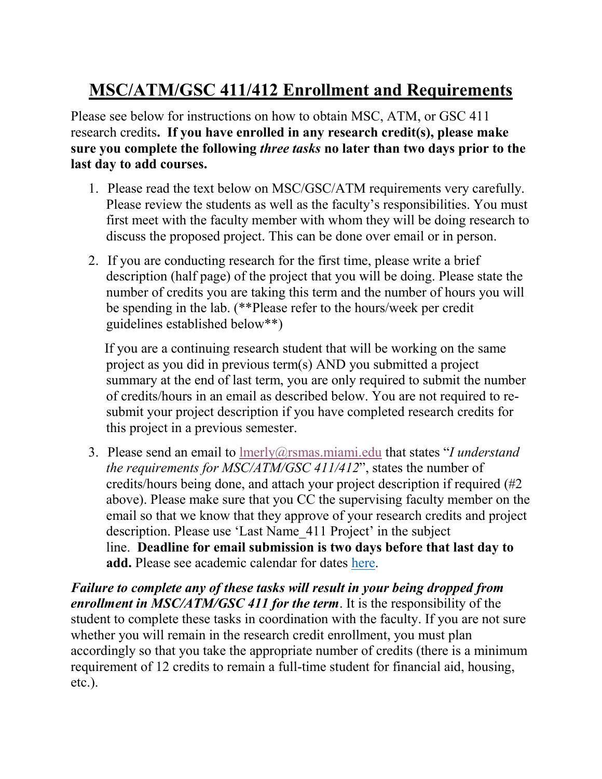## **MSC/ATM/GSC 411/412 Enrollment and Requirements**

Please see below for instructions on how to obtain MSC, ATM, or GSC 411 research credits**. If you have enrolled in any research credit(s), please make sure you complete the following** *three tasks* **no later than two days prior to the last day to add courses.**

- 1. Please read the text below on MSC/GSC/ATM requirements very carefully. Please review the students as well as the faculty's responsibilities. You must first meet with the faculty member with whom they will be doing research to discuss the proposed project. This can be done over email or in person.
- 2. If you are conducting research for the first time, please write a brief description (half page) of the project that you will be doing. Please state the number of credits you are taking this term and the number of hours you will be spending in the lab. (\*\*Please refer to the hours/week per credit guidelines established below\*\*)

 If you are a continuing research student that will be working on the same project as you did in previous term(s) AND you submitted a project summary at the end of last term, you are only required to submit the number of credits/hours in an email as described below. You are not required to resubmit your project description if you have completed research credits for this project in a previous semester.

3. Please send an email to [lmerly@rsmas.miami.edu](mailto:lmerly@rsmas.miami.edu) that states "*I understand the requirements for MSC/ATM/GSC 411/412*", states the number of credits/hours being done, and attach your project description if required (#2 above). Please make sure that you CC the supervising faculty member on the email so that we know that they approve of your research credits and project description. Please use 'Last Name\_411 Project' in the subject line. **Deadline for email submission is two days before that last day to add.** Please see academic calendar for dates [here.](https://registrar.miami.edu/dates-and-deadlines/academic-calendars/index.html)

*Failure to complete any of these tasks will result in your being dropped from enrollment in MSC/ATM/GSC 411 for the term*. It is the responsibility of the student to complete these tasks in coordination with the faculty. If you are not sure whether you will remain in the research credit enrollment, you must plan accordingly so that you take the appropriate number of credits (there is a minimum requirement of 12 credits to remain a full-time student for financial aid, housing, etc.).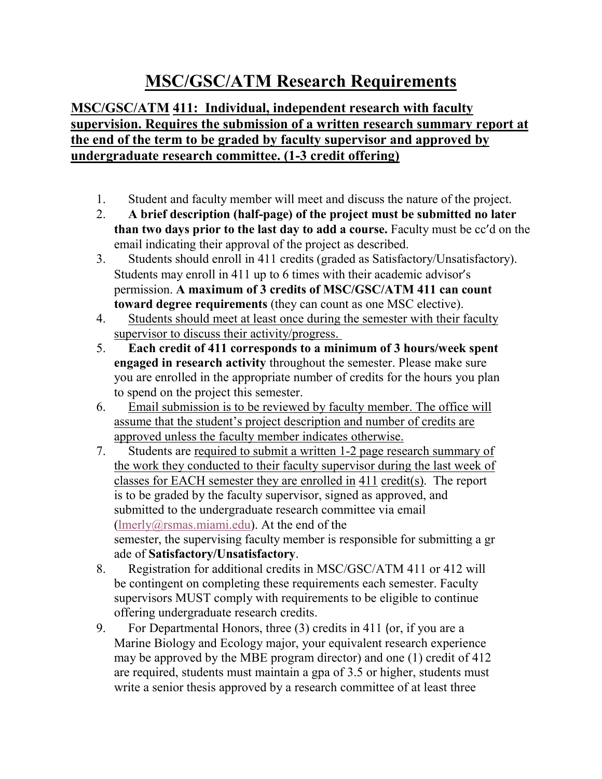## **MSC/GSC/ATM Research Requirements**

## **MSC/GSC/ATM 411: Individual, independent research with faculty supervision. Requires the submission of a written research summary report at the end of the term to be graded by faculty supervisor and approved by undergraduate research committee. (1-3 credit offering)**

- 1. Student and faculty member will meet and discuss the nature of the project.
- 2. **A brief description (half-page) of the project must be submitted no later than two days prior to the last day to add a course.** Faculty must be cc'd on the email indicating their approval of the project as described.
- 3. Students should enroll in 411 credits (graded as Satisfactory/Unsatisfactory). Students may enroll in 411 up to 6 times with their academic advisor's permission. **A maximum of 3 credits of MSC/GSC/ATM 411 can count toward degree requirements** (they can count as one MSC elective).
- 4. Students should meet at least once during the semester with their faculty supervisor to discuss their activity/progress.
- 5. **Each credit of 411 corresponds to a minimum of 3 hours/week spent engaged in research activity** throughout the semester. Please make sure you are enrolled in the appropriate number of credits for the hours you plan to spend on the project this semester.
- 6. Email submission is to be reviewed by faculty member. The office will assume that the student's project description and number of credits are approved unless the faculty member indicates otherwise.
- 7. Students are required to submit a written 1-2 page research summary of the work they conducted to their faculty supervisor during the last week of classes for EACH semester they are enrolled in 411 credit(s). The report is to be graded by the faculty supervisor, signed as approved, and submitted to the undergraduate research committee via email [\(lmerly@rsmas.miami.edu\)](mailto:lmerly@rsmas.miami.edu). At the end of the semester, the supervising faculty member is responsible for submitting a gr ade of **Satisfactory/Unsatisfactory**.
- 8. Registration for additional credits in MSC/GSC/ATM 411 or 412 will be contingent on completing these requirements each semester. Faculty supervisors MUST comply with requirements to be eligible to continue offering undergraduate research credits.
- 9. For Departmental Honors, three (3) credits in 411 (or, if you are a Marine Biology and Ecology major, your equivalent research experience may be approved by the MBE program director) and one (1) credit of 412 are required, students must maintain a gpa of 3.5 or higher, students must write a senior thesis approved by a research committee of at least three